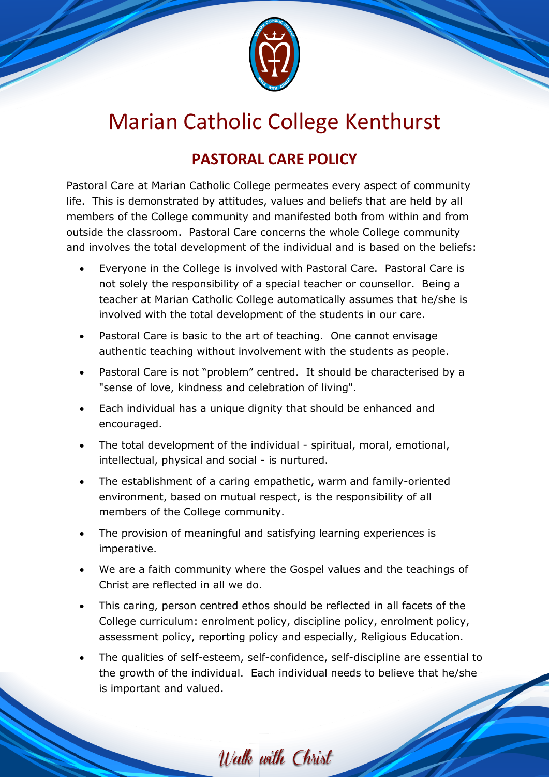

## Marian Catholic College Kenthurst

## **PASTORAL CARE POLICY**

Pastoral Care at Marian Catholic College permeates every aspect of community life. This is demonstrated by attitudes, values and beliefs that are held by all members of the College community and manifested both from within and from outside the classroom. Pastoral Care concerns the whole College community and involves the total development of the individual and is based on the beliefs:

- Everyone in the College is involved with Pastoral Care. Pastoral Care is not solely the responsibility of a special teacher or counsellor. Being a teacher at Marian Catholic College automatically assumes that he/she is involved with the total development of the students in our care.
- Pastoral Care is basic to the art of teaching. One cannot envisage authentic teaching without involvement with the students as people.
- Pastoral Care is not "problem" centred. It should be characterised by a "sense of love, kindness and celebration of living".
- Each individual has a unique dignity that should be enhanced and encouraged.
- The total development of the individual spiritual, moral, emotional, intellectual, physical and social - is nurtured.
- The establishment of a caring empathetic, warm and family-oriented environment, based on mutual respect, is the responsibility of all members of the College community.
- The provision of meaningful and satisfying learning experiences is imperative.
- We are a faith community where the Gospel values and the teachings of Christ are reflected in all we do.
- This caring, person centred ethos should be reflected in all facets of the College curriculum: enrolment policy, discipline policy, enrolment policy, assessment policy, reporting policy and especially, Religious Education.
- The qualities of self-esteem, self-confidence, self-discipline are essential to the growth of the individual. Each individual needs to believe that he/she is important and valued.

Walk with Christ